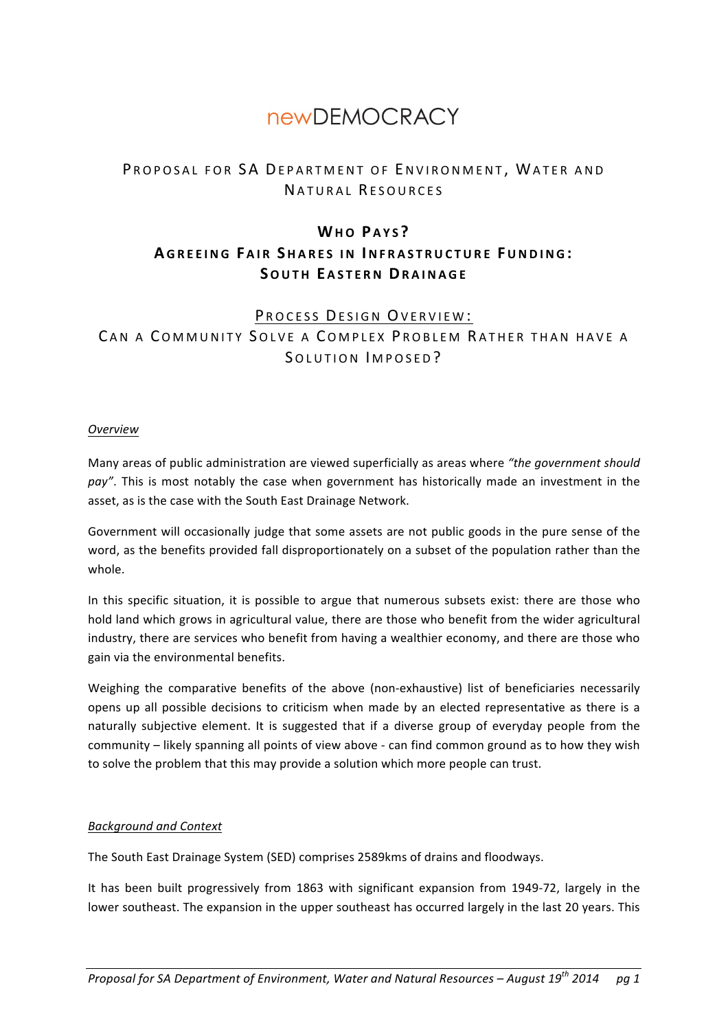# **newDFMOCRACY**

# PROPOSAL FOR SA DEPARTMENT OF ENVIRONMENT. WATER AND NATURAL RESOURCES

# **WHO P AYS ?**

# **A GREEING F AIR S HARES IN INFRASTRUCTURE FUNDING : SOUTH E ASTERN DRAINAGE**

# PROCESS DESIGN OVERVIEW:

CAN A COMMUNITY SOLVE A COMPLEX PROBLEM RATHER THAN HAVE A SOLUTION IMPOSED?

#### *Overview*

Many areas of public administration are viewed superficially as areas where "the government should pay". This is most notably the case when government has historically made an investment in the asset, as is the case with the South East Drainage Network.

Government will occasionally judge that some assets are not public goods in the pure sense of the word, as the benefits provided fall disproportionately on a subset of the population rather than the whole.

In this specific situation, it is possible to argue that numerous subsets exist: there are those who hold land which grows in agricultural value, there are those who benefit from the wider agricultural industry, there are services who benefit from having a wealthier economy, and there are those who gain via the environmental benefits.

Weighing the comparative benefits of the above (non-exhaustive) list of beneficiaries necessarily opens up all possible decisions to criticism when made by an elected representative as there is a naturally subjective element. It is suggested that if a diverse group of everyday people from the community – likely spanning all points of view above - can find common ground as to how they wish to solve the problem that this may provide a solution which more people can trust.

# *Background and Context*

The South East Drainage System (SED) comprises 2589kms of drains and floodways.

It has been built progressively from 1863 with significant expansion from 1949-72, largely in the lower southeast. The expansion in the upper southeast has occurred largely in the last 20 years. This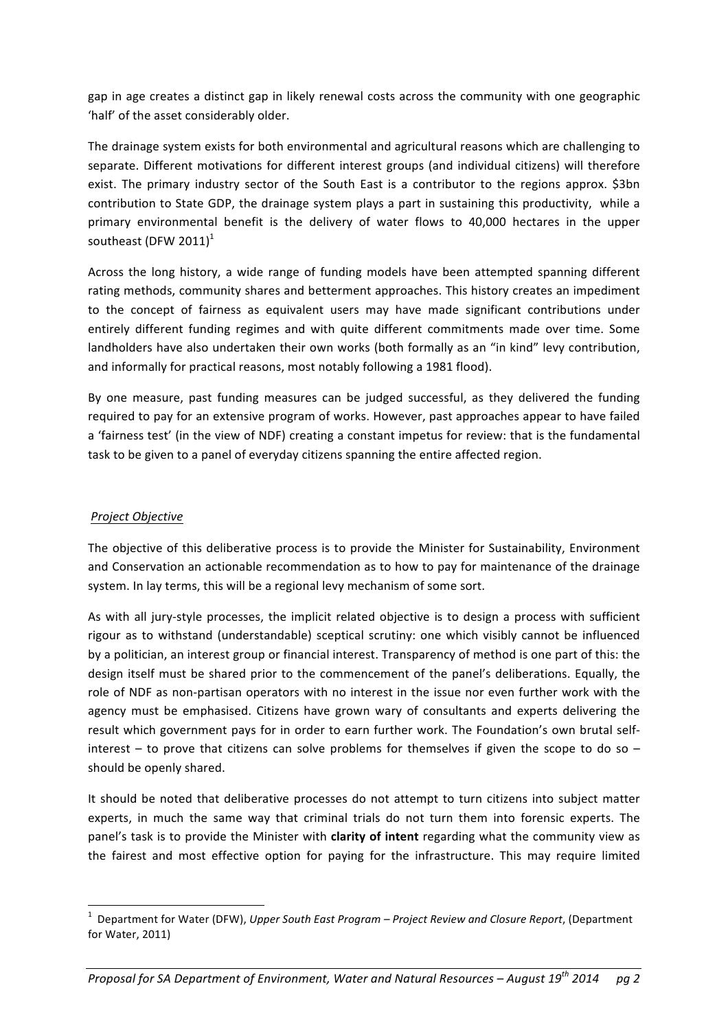gap in age creates a distinct gap in likely renewal costs across the community with one geographic 'half' of the asset considerably older.

The drainage system exists for both environmental and agricultural reasons which are challenging to separate. Different motivations for different interest groups (and individual citizens) will therefore exist. The primary industry sector of the South East is a contributor to the regions approx. \$3bn contribution to State GDP, the drainage system plays a part in sustaining this productivity, while a primary environmental benefit is the delivery of water flows to 40,000 hectares in the upper southeast (DFW 2011) $1$ 

Across the long history, a wide range of funding models have been attempted spanning different rating methods, community shares and betterment approaches. This history creates an impediment to the concept of fairness as equivalent users may have made significant contributions under entirely different funding regimes and with quite different commitments made over time. Some landholders have also undertaken their own works (both formally as an "in kind" levy contribution, and informally for practical reasons, most notably following a 1981 flood).

By one measure, past funding measures can be judged successful, as they delivered the funding required to pay for an extensive program of works. However, past approaches appear to have failed a 'fairness test' (in the view of NDF) creating a constant impetus for review: that is the fundamental task to be given to a panel of everyday citizens spanning the entire affected region.

#### *Project Objective*

<u> 1989 - Johann Stein, fransk politik (d. 1989)</u>

The objective of this deliberative process is to provide the Minister for Sustainability, Environment and Conservation an actionable recommendation as to how to pay for maintenance of the drainage system. In lay terms, this will be a regional levy mechanism of some sort.

As with all jury-style processes, the implicit related objective is to design a process with sufficient rigour as to withstand (understandable) sceptical scrutiny: one which visibly cannot be influenced by a politician, an interest group or financial interest. Transparency of method is one part of this: the design itself must be shared prior to the commencement of the panel's deliberations. Equally, the role of NDF as non-partisan operators with no interest in the issue nor even further work with the agency must be emphasised. Citizens have grown wary of consultants and experts delivering the result which government pays for in order to earn further work. The Foundation's own brutal selfinterest – to prove that citizens can solve problems for themselves if given the scope to do so – should be openly shared.

It should be noted that deliberative processes do not attempt to turn citizens into subject matter experts, in much the same way that criminal trials do not turn them into forensic experts. The panel's task is to provide the Minister with **clarity of intent** regarding what the community view as the fairest and most effective option for paying for the infrastructure. This may require limited

<sup>&</sup>lt;sup>1</sup> Department for Water (DFW), *Upper South East Program – Project Review and Closure Report*, (Department for Water, 2011)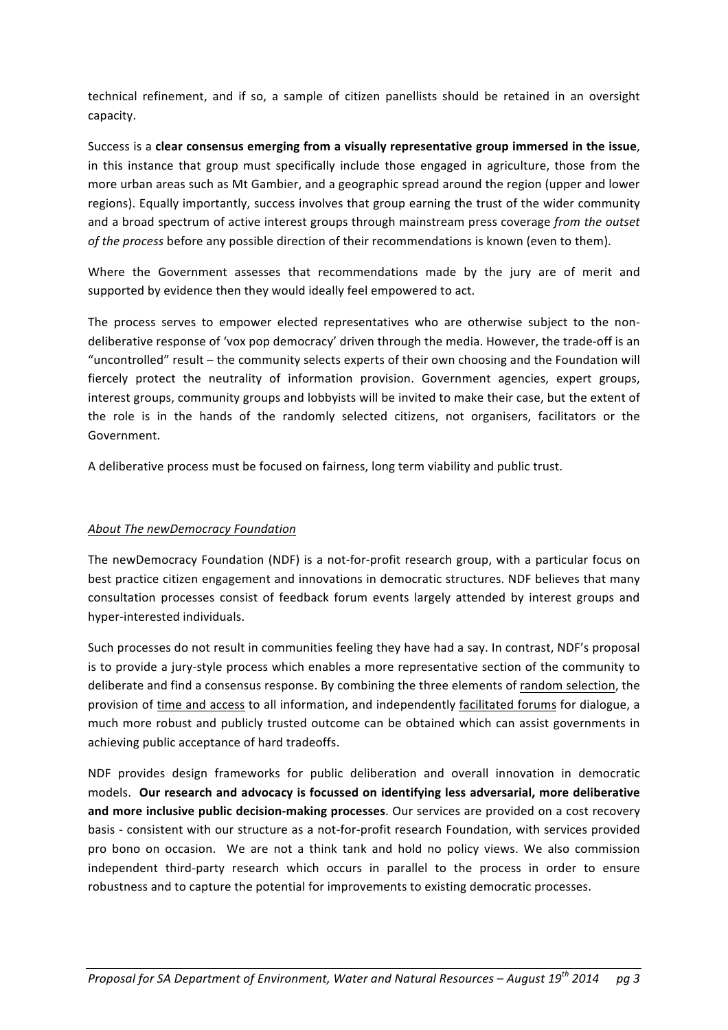technical refinement, and if so, a sample of citizen panellists should be retained in an oversight capacity.

Success is a clear consensus emerging from a visually representative group immersed in the issue, in this instance that group must specifically include those engaged in agriculture, those from the more urban areas such as Mt Gambier, and a geographic spread around the region (upper and lower regions). Equally importantly, success involves that group earning the trust of the wider community and a broad spectrum of active interest groups through mainstream press coverage *from the outset* of the process before any possible direction of their recommendations is known (even to them).

Where the Government assesses that recommendations made by the jury are of merit and supported by evidence then they would ideally feel empowered to act.

The process serves to empower elected representatives who are otherwise subject to the nondeliberative response of 'vox pop democracy' driven through the media. However, the trade-off is an "uncontrolled" result – the community selects experts of their own choosing and the Foundation will fiercely protect the neutrality of information provision. Government agencies, expert groups, interest groups, community groups and lobbyists will be invited to make their case, but the extent of the role is in the hands of the randomly selected citizens, not organisers, facilitators or the Government. 

A deliberative process must be focused on fairness, long term viability and public trust.

# **About The newDemocracy Foundation**

The newDemocracy Foundation (NDF) is a not-for-profit research group, with a particular focus on best practice citizen engagement and innovations in democratic structures. NDF believes that many consultation processes consist of feedback forum events largely attended by interest groups and hyper-interested individuals.

Such processes do not result in communities feeling they have had a say. In contrast, NDF's proposal is to provide a jury-style process which enables a more representative section of the community to deliberate and find a consensus response. By combining the three elements of random selection, the provision of time and access to all information, and independently facilitated forums for dialogue, a much more robust and publicly trusted outcome can be obtained which can assist governments in achieving public acceptance of hard tradeoffs.

NDF provides design frameworks for public deliberation and overall innovation in democratic models. Our research and advocacy is focussed on identifying less adversarial, more deliberative and more inclusive public decision-making processes. Our services are provided on a cost recovery basis - consistent with our structure as a not-for-profit research Foundation, with services provided pro bono on occasion. We are not a think tank and hold no policy views. We also commission independent third-party research which occurs in parallel to the process in order to ensure robustness and to capture the potential for improvements to existing democratic processes.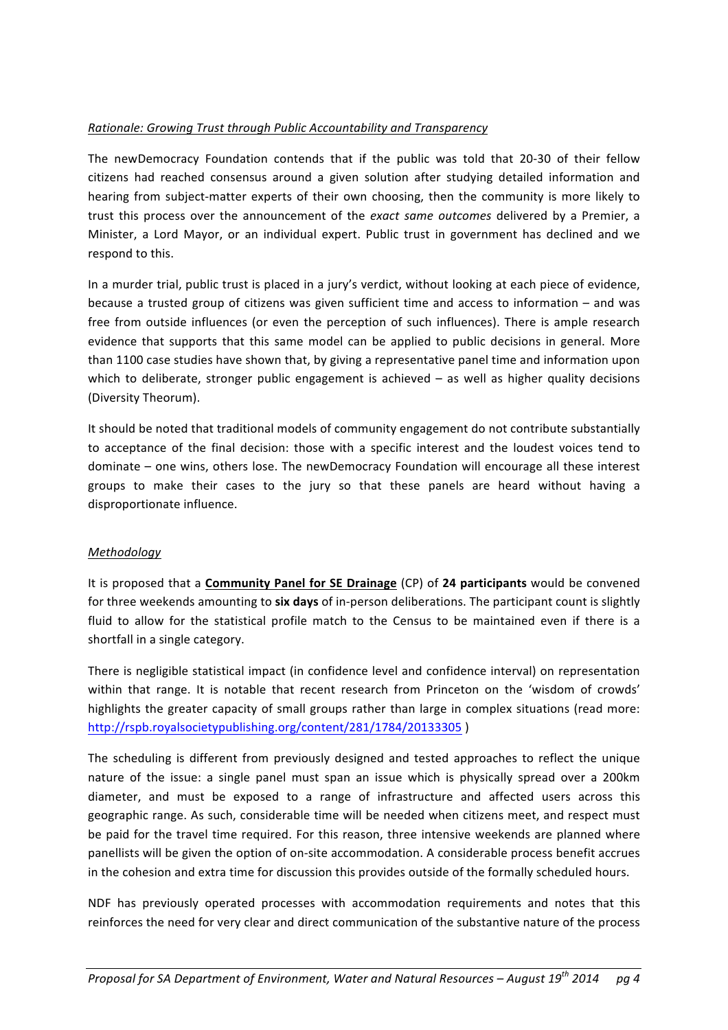#### *Rationale: Growing Trust through Public Accountability and Transparency*

The newDemocracy Foundation contends that if the public was told that 20-30 of their fellow citizens had reached consensus around a given solution after studying detailed information and hearing from subject-matter experts of their own choosing, then the community is more likely to trust this process over the announcement of the *exact same outcomes* delivered by a Premier, a Minister, a Lord Mayor, or an individual expert. Public trust in government has declined and we respond to this.

In a murder trial, public trust is placed in a jury's verdict, without looking at each piece of evidence, because a trusted group of citizens was given sufficient time and access to information  $-$  and was free from outside influences (or even the perception of such influences). There is ample research evidence that supports that this same model can be applied to public decisions in general. More than 1100 case studies have shown that, by giving a representative panel time and information upon which to deliberate, stronger public engagement is achieved  $-$  as well as higher quality decisions (Diversity Theorum). 

It should be noted that traditional models of community engagement do not contribute substantially to acceptance of the final decision: those with a specific interest and the loudest voices tend to dominate – one wins, others lose. The newDemocracy Foundation will encourage all these interest groups to make their cases to the jury so that these panels are heard without having a disproportionate influence.

# *Methodology*

It is proposed that a **Community Panel for SE Drainage** (CP) of 24 participants would be convened for three weekends amounting to six days of in-person deliberations. The participant count is slightly fluid to allow for the statistical profile match to the Census to be maintained even if there is a shortfall in a single category.

There is negligible statistical impact (in confidence level and confidence interval) on representation within that range. It is notable that recent research from Princeton on the 'wisdom of crowds' highlights the greater capacity of small groups rather than large in complex situations (read more: http://rspb.royalsocietypublishing.org/content/281/1784/20133305 )

The scheduling is different from previously designed and tested approaches to reflect the unique nature of the issue: a single panel must span an issue which is physically spread over a 200km diameter, and must be exposed to a range of infrastructure and affected users across this geographic range. As such, considerable time will be needed when citizens meet, and respect must be paid for the travel time required. For this reason, three intensive weekends are planned where panellists will be given the option of on-site accommodation. A considerable process benefit accrues in the cohesion and extra time for discussion this provides outside of the formally scheduled hours.

NDF has previously operated processes with accommodation requirements and notes that this reinforces the need for very clear and direct communication of the substantive nature of the process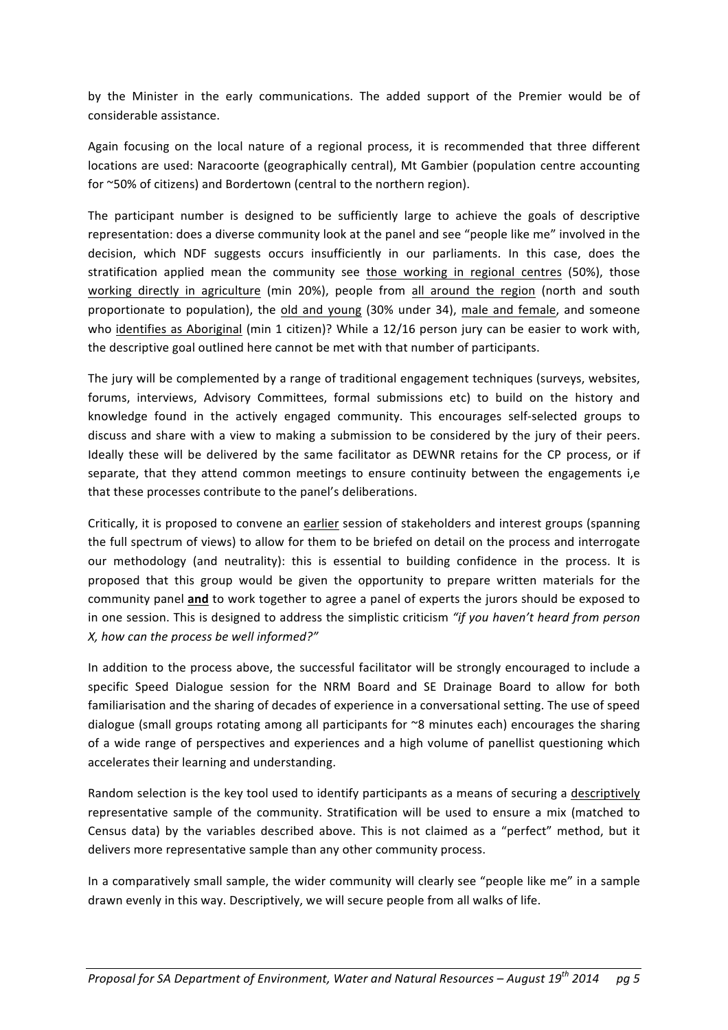by the Minister in the early communications. The added support of the Premier would be of considerable assistance.

Again focusing on the local nature of a regional process, it is recommended that three different locations are used: Naracoorte (geographically central), Mt Gambier (population centre accounting for ~50% of citizens) and Bordertown (central to the northern region).

The participant number is designed to be sufficiently large to achieve the goals of descriptive representation: does a diverse community look at the panel and see "people like me" involved in the decision, which NDF suggests occurs insufficiently in our parliaments. In this case, does the stratification applied mean the community see those working in regional centres (50%), those working directly in agriculture (min 20%), people from all around the region (north and south proportionate to population), the old and young (30% under 34), male and female, and someone who identifies as Aboriginal (min 1 citizen)? While a 12/16 person jury can be easier to work with, the descriptive goal outlined here cannot be met with that number of participants.

The jury will be complemented by a range of traditional engagement techniques (surveys, websites, forums, interviews, Advisory Committees, formal submissions etc) to build on the history and knowledge found in the actively engaged community. This encourages self-selected groups to discuss and share with a view to making a submission to be considered by the jury of their peers. Ideally these will be delivered by the same facilitator as DEWNR retains for the CP process, or if separate, that they attend common meetings to ensure continuity between the engagements i,e that these processes contribute to the panel's deliberations.

Critically, it is proposed to convene an earlier session of stakeholders and interest groups (spanning the full spectrum of views) to allow for them to be briefed on detail on the process and interrogate our methodology (and neutrality): this is essential to building confidence in the process. It is proposed that this group would be given the opportunity to prepare written materials for the community panel and to work together to agree a panel of experts the jurors should be exposed to in one session. This is designed to address the simplistic criticism "if you haven't heard from person *X, how can the process be well informed?"* 

In addition to the process above, the successful facilitator will be strongly encouraged to include a specific Speed Dialogue session for the NRM Board and SE Drainage Board to allow for both familiarisation and the sharing of decades of experience in a conversational setting. The use of speed dialogue (small groups rotating among all participants for  $\sim$ 8 minutes each) encourages the sharing of a wide range of perspectives and experiences and a high volume of panellist questioning which accelerates their learning and understanding.

Random selection is the key tool used to identify participants as a means of securing a descriptively representative sample of the community. Stratification will be used to ensure a mix (matched to Census data) by the variables described above. This is not claimed as a "perfect" method, but it delivers more representative sample than any other community process.

In a comparatively small sample, the wider community will clearly see "people like me" in a sample drawn evenly in this way. Descriptively, we will secure people from all walks of life.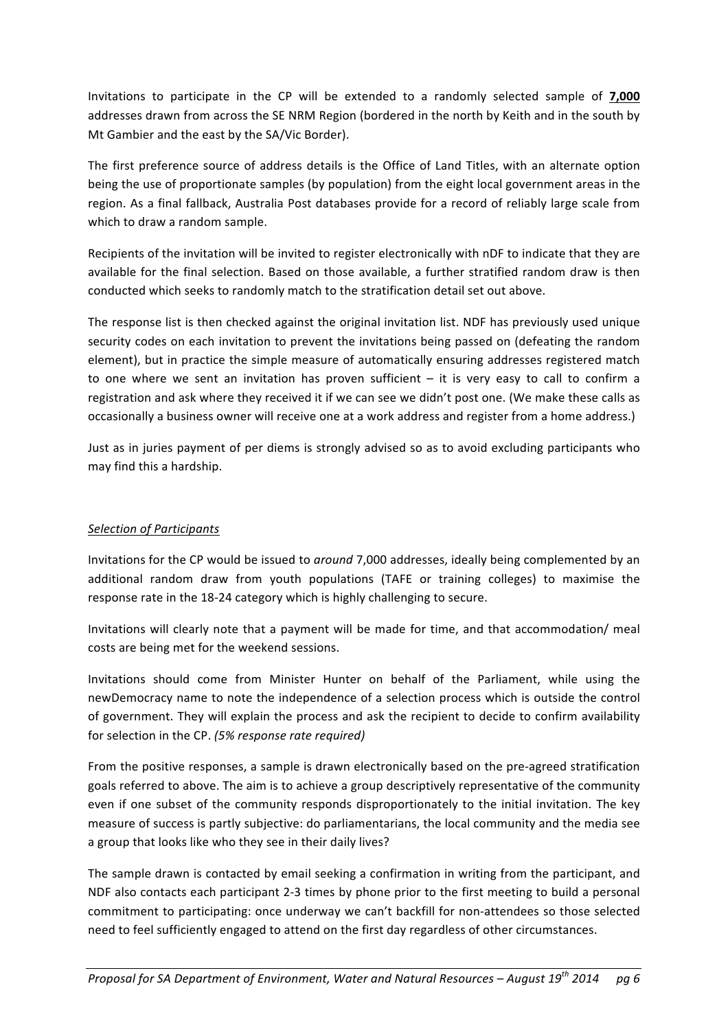Invitations to participate in the CP will be extended to a randomly selected sample of **7,000** addresses drawn from across the SE NRM Region (bordered in the north by Keith and in the south by Mt Gambier and the east by the SA/Vic Border).

The first preference source of address details is the Office of Land Titles, with an alternate option being the use of proportionate samples (by population) from the eight local government areas in the region. As a final fallback, Australia Post databases provide for a record of reliably large scale from which to draw a random sample.

Recipients of the invitation will be invited to register electronically with nDF to indicate that they are available for the final selection. Based on those available, a further stratified random draw is then conducted which seeks to randomly match to the stratification detail set out above.

The response list is then checked against the original invitation list. NDF has previously used unique security codes on each invitation to prevent the invitations being passed on (defeating the random element), but in practice the simple measure of automatically ensuring addresses registered match to one where we sent an invitation has proven sufficient  $-$  it is very easy to call to confirm a registration and ask where they received it if we can see we didn't post one. (We make these calls as occasionally a business owner will receive one at a work address and register from a home address.)

Just as in juries payment of per diems is strongly advised so as to avoid excluding participants who may find this a hardship.

# *Selection of Participants*

Invitations for the CP would be issued to *around* 7,000 addresses, ideally being complemented by an additional random draw from youth populations (TAFE or training colleges) to maximise the response rate in the 18-24 category which is highly challenging to secure.

Invitations will clearly note that a payment will be made for time, and that accommodation/ meal costs are being met for the weekend sessions.

Invitations should come from Minister Hunter on behalf of the Parliament, while using the newDemocracy name to note the independence of a selection process which is outside the control of government. They will explain the process and ask the recipient to decide to confirm availability for selection in the CP. (5% response rate required)

From the positive responses, a sample is drawn electronically based on the pre-agreed stratification goals referred to above. The aim is to achieve a group descriptively representative of the community even if one subset of the community responds disproportionately to the initial invitation. The key measure of success is partly subjective: do parliamentarians, the local community and the media see a group that looks like who they see in their daily lives?

The sample drawn is contacted by email seeking a confirmation in writing from the participant, and NDF also contacts each participant 2-3 times by phone prior to the first meeting to build a personal commitment to participating: once underway we can't backfill for non-attendees so those selected need to feel sufficiently engaged to attend on the first day regardless of other circumstances.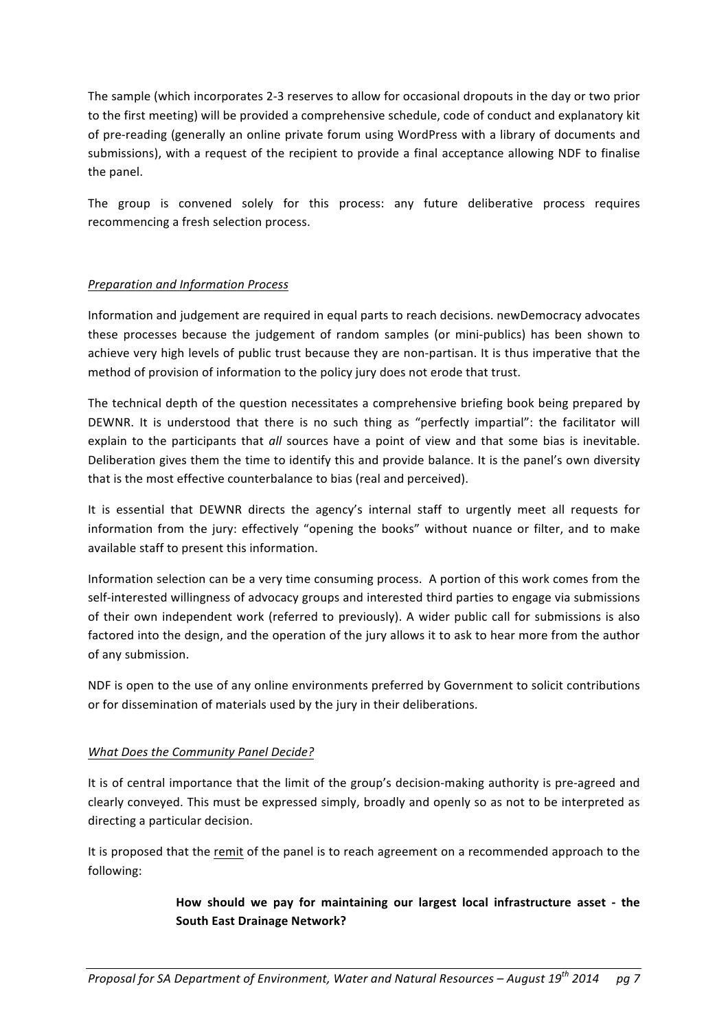The sample (which incorporates 2-3 reserves to allow for occasional dropouts in the day or two prior to the first meeting) will be provided a comprehensive schedule, code of conduct and explanatory kit of pre-reading (generally an online private forum using WordPress with a library of documents and submissions), with a request of the recipient to provide a final acceptance allowing NDF to finalise the panel.

The group is convened solely for this process: any future deliberative process requires recommencing a fresh selection process.

# *Preparation and Information Process*

Information and judgement are required in equal parts to reach decisions. newDemocracy advocates these processes because the judgement of random samples (or mini-publics) has been shown to achieve very high levels of public trust because they are non-partisan. It is thus imperative that the method of provision of information to the policy jury does not erode that trust.

The technical depth of the question necessitates a comprehensive briefing book being prepared by DEWNR. It is understood that there is no such thing as "perfectly impartial": the facilitator will explain to the participants that all sources have a point of view and that some bias is inevitable. Deliberation gives them the time to identify this and provide balance. It is the panel's own diversity that is the most effective counterbalance to bias (real and perceived).

It is essential that DEWNR directs the agency's internal staff to urgently meet all requests for information from the jury: effectively "opening the books" without nuance or filter, and to make available staff to present this information.

Information selection can be a very time consuming process. A portion of this work comes from the self-interested willingness of advocacy groups and interested third parties to engage via submissions of their own independent work (referred to previously). A wider public call for submissions is also factored into the design, and the operation of the jury allows it to ask to hear more from the author of any submission.

NDF is open to the use of any online environments preferred by Government to solicit contributions or for dissemination of materials used by the jury in their deliberations.

# *What Does the Community Panel Decide?*

It is of central importance that the limit of the group's decision-making authority is pre-agreed and clearly conveyed. This must be expressed simply, broadly and openly so as not to be interpreted as directing a particular decision.

It is proposed that the remit of the panel is to reach agreement on a recommended approach to the following:

# How should we pay for maintaining our largest local infrastructure asset - the **South East Drainage Network?**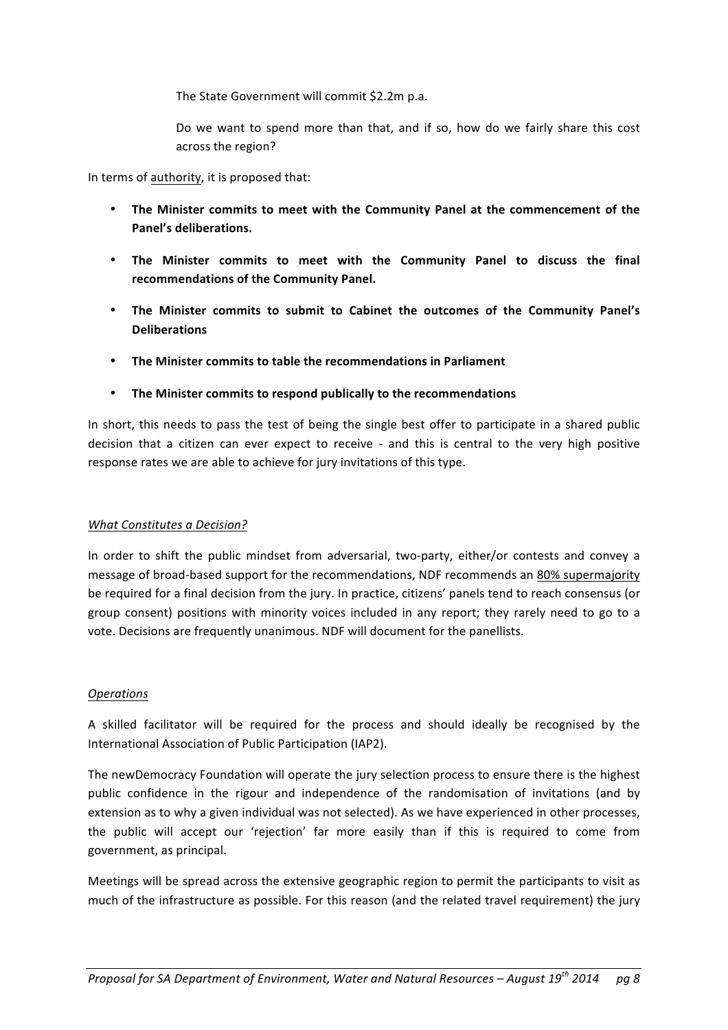The State Government will commit \$2.2m p.a.

Do we want to spend more than that, and if so, how do we fairly share this cost across the region?

In terms of authority, it is proposed that:

- The Minister commits to meet with the Community Panel at the commencement of the **Panel's deliberations.**
- The Minister commits to meet with the Community Panel to discuss the final recommendations of the Community Panel.
- The Minister commits to submit to Cabinet the outcomes of the Community Panel's **Deliberations**
- **The Minister commits to table the recommendations in Parliament**
- The Minister commits to respond publically to the recommendations

In short, this needs to pass the test of being the single best offer to participate in a shared public decision that a citizen can ever expect to receive - and this is central to the very high positive response rates we are able to achieve for jury invitations of this type.

# *What Constitutes a Decision?*

In order to shift the public mindset from adversarial, two-party, either/or contests and convey a message of broad-based support for the recommendations, NDF recommends an 80% supermajority be required for a final decision from the jury. In practice, citizens' panels tend to reach consensus (or group consent) positions with minority voices included in any report; they rarely need to go to a vote. Decisions are frequently unanimous. NDF will document for the panellists.

# *Operations*

A skilled facilitator will be required for the process and should ideally be recognised by the International Association of Public Participation (IAP2).

The newDemocracy Foundation will operate the jury selection process to ensure there is the highest public confidence in the rigour and independence of the randomisation of invitations (and by extension as to why a given individual was not selected). As we have experienced in other processes, the public will accept our 'rejection' far more easily than if this is required to come from government, as principal.

Meetings will be spread across the extensive geographic region to permit the participants to visit as much of the infrastructure as possible. For this reason (and the related travel requirement) the jury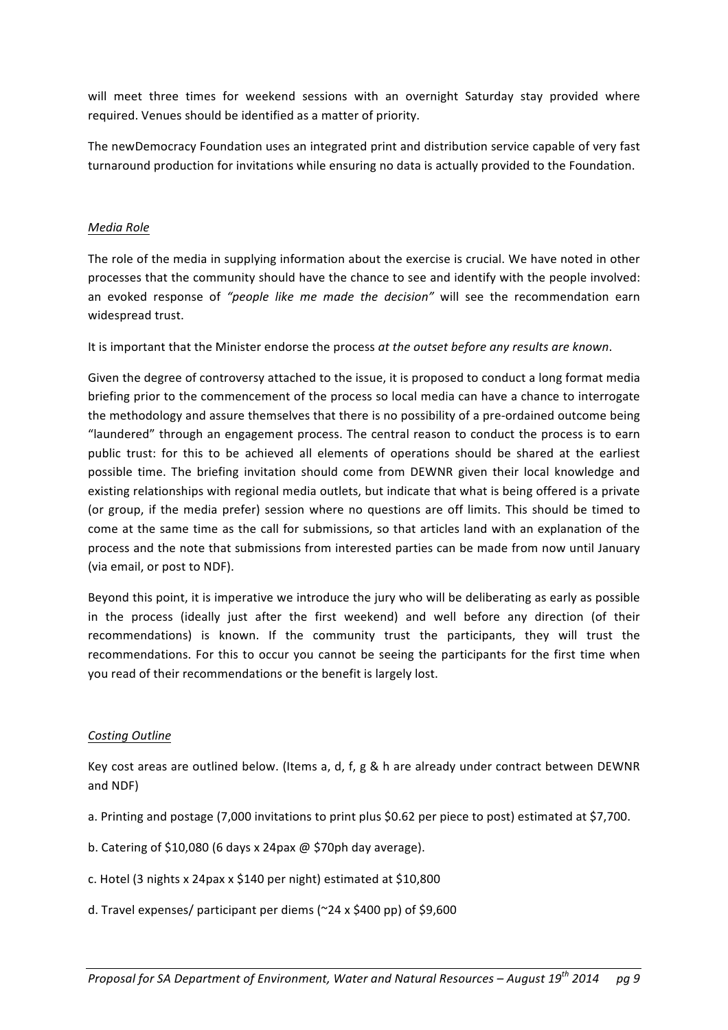will meet three times for weekend sessions with an overnight Saturday stay provided where required. Venues should be identified as a matter of priority.

The newDemocracy Foundation uses an integrated print and distribution service capable of very fast turnaround production for invitations while ensuring no data is actually provided to the Foundation.

# *Media Role*

The role of the media in supplying information about the exercise is crucial. We have noted in other processes that the community should have the chance to see and identify with the people involved: an evoked response of "people like me made the decision" will see the recommendation earn widespread trust.

It is important that the Minister endorse the process at the outset before any results are known.

Given the degree of controversy attached to the issue, it is proposed to conduct a long format media briefing prior to the commencement of the process so local media can have a chance to interrogate the methodology and assure themselves that there is no possibility of a pre-ordained outcome being "laundered" through an engagement process. The central reason to conduct the process is to earn public trust: for this to be achieved all elements of operations should be shared at the earliest possible time. The briefing invitation should come from DEWNR given their local knowledge and existing relationships with regional media outlets, but indicate that what is being offered is a private (or group, if the media prefer) session where no questions are off limits. This should be timed to come at the same time as the call for submissions, so that articles land with an explanation of the process and the note that submissions from interested parties can be made from now until January (via email, or post to NDF).

Beyond this point, it is imperative we introduce the jury who will be deliberating as early as possible in the process (ideally just after the first weekend) and well before any direction (of their recommendations) is known. If the community trust the participants, they will trust the recommendations. For this to occur you cannot be seeing the participants for the first time when you read of their recommendations or the benefit is largely lost.

# *Costing Outline*

Key cost areas are outlined below. (Items a, d, f, g & h are already under contract between DEWNR and NDF)

- a. Printing and postage (7,000 invitations to print plus \$0.62 per piece to post) estimated at \$7,700.
- b. Catering of \$10,080 (6 days x 24pax  $@$  \$70ph day average).
- c. Hotel (3 nights x 24pax x \$140 per night) estimated at \$10,800
- d. Travel expenses/ participant per diems ( $\approx$ 24 x \$400 pp) of \$9,600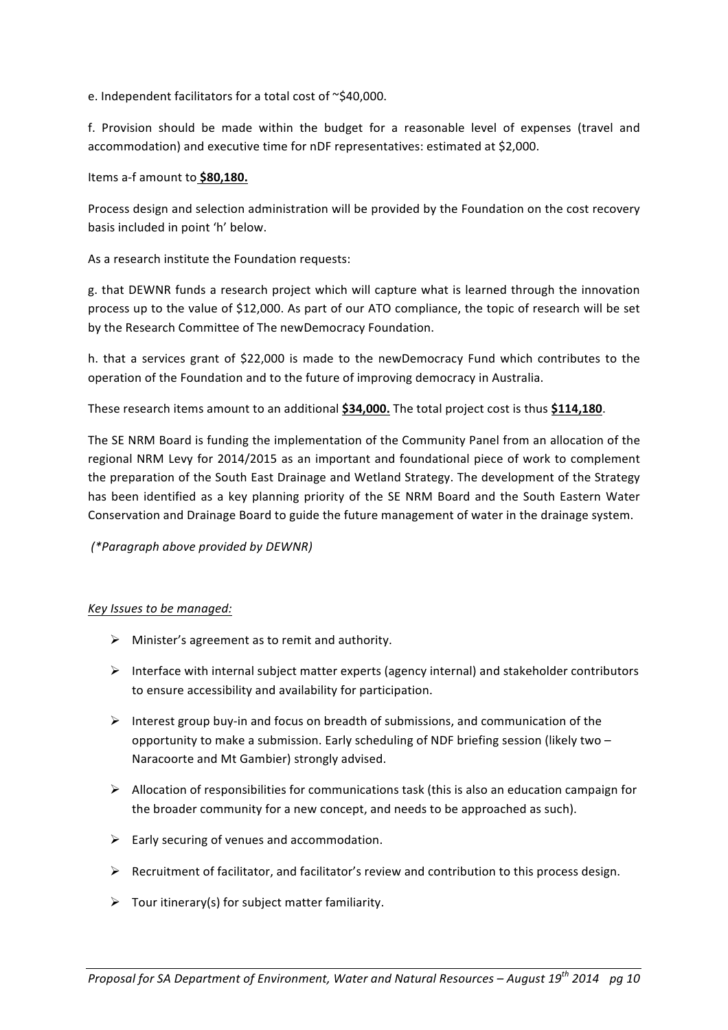e. Independent facilitators for a total cost of  $\sim$ \$40,000.

f. Provision should be made within the budget for a reasonable level of expenses (travel and accommodation) and executive time for nDF representatives: estimated at \$2,000.

Items a-f amount to \$80,180.

Process design and selection administration will be provided by the Foundation on the cost recovery basis included in point 'h' below.

As a research institute the Foundation requests:

g. that DEWNR funds a research project which will capture what is learned through the innovation process up to the value of \$12,000. As part of our ATO compliance, the topic of research will be set by the Research Committee of The newDemocracy Foundation.

h. that a services grant of \$22,000 is made to the newDemocracy Fund which contributes to the operation of the Foundation and to the future of improving democracy in Australia.

These research items amount to an additional \$34,000. The total project cost is thus \$114,180.

The SE NRM Board is funding the implementation of the Community Panel from an allocation of the regional NRM Levy for 2014/2015 as an important and foundational piece of work to complement the preparation of the South East Drainage and Wetland Strategy. The development of the Strategy has been identified as a key planning priority of the SE NRM Board and the South Eastern Water Conservation and Drainage Board to guide the future management of water in the drainage system.

*(\*Paragraph above provided by DEWNR)*

#### *Key Issues to be managed:*

- $\triangleright$  Minister's agreement as to remit and authority.
- $\triangleright$  Interface with internal subject matter experts (agency internal) and stakeholder contributors to ensure accessibility and availability for participation.
- $\triangleright$  Interest group buy-in and focus on breadth of submissions, and communication of the opportunity to make a submission. Early scheduling of NDF briefing session (likely two – Naracoorte and Mt Gambier) strongly advised.
- $\triangleright$  Allocation of responsibilities for communications task (this is also an education campaign for the broader community for a new concept, and needs to be approached as such).
- $\triangleright$  Early securing of venues and accommodation.
- $\triangleright$  Recruitment of facilitator, and facilitator's review and contribution to this process design.
- $\triangleright$  Tour itinerary(s) for subject matter familiarity.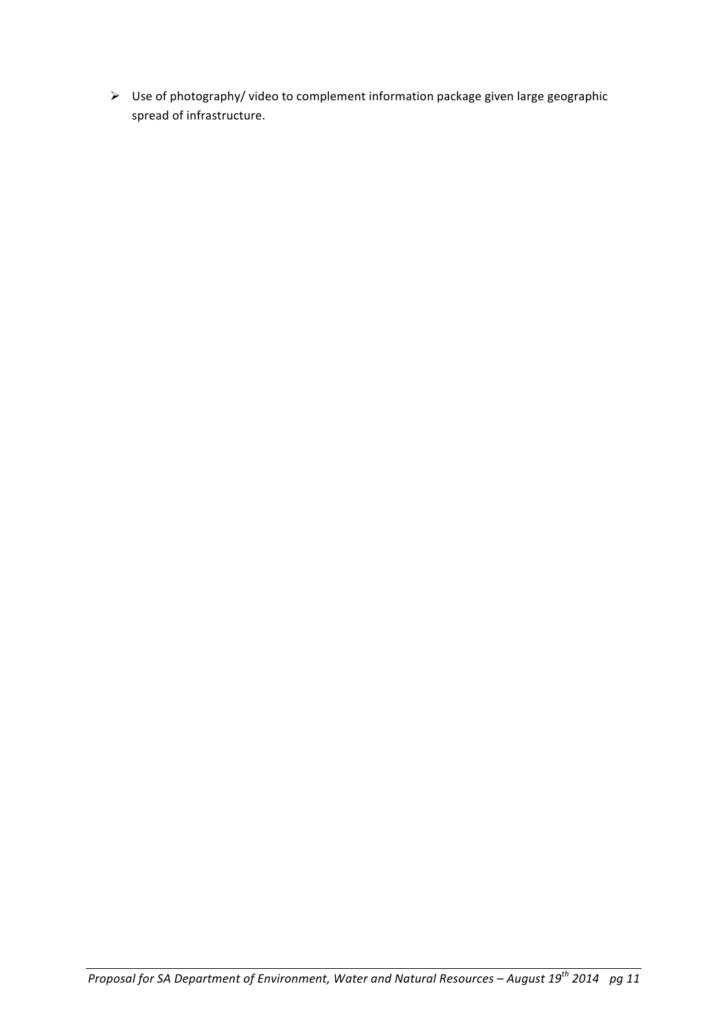$\triangleright$  Use of photography/ video to complement information package given large geographic spread of infrastructure.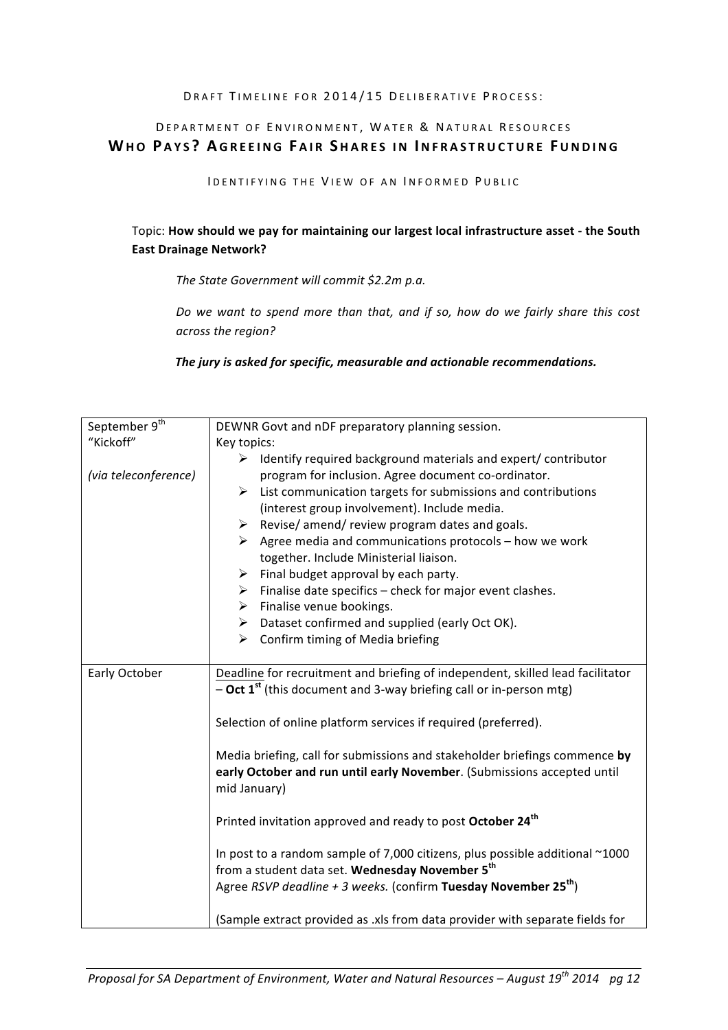#### DRAFT TIMELINE FOR 2014/15 DELIBERATIVE PROCESS:

# DEPARTMENT OF ENVIRONMENT, WATER & NATURAL RESOURCES **WHO P AYS ? A GREEING F AIR S HARES IN INFRASTRUCTURE FUNDING**

IDENTIFYING THE VIEW OF AN INFORMED PUBLIC

# Topic: How should we pay for maintaining our largest local infrastructure asset - the South **East Drainage Network?**

The State Government will commit \$2.2m p.a.

Do we want to spend more than that, and if so, how do we fairly share this cost *across the region?*

The jury is asked for specific, measurable and actionable recommendations.

| September 9 <sup>th</sup> | DEWNR Govt and nDF preparatory planning session.                               |
|---------------------------|--------------------------------------------------------------------------------|
| "Kickoff"                 | Key topics:                                                                    |
|                           | Identify required background materials and expert/contributor<br>≻             |
| (via teleconference)      | program for inclusion. Agree document co-ordinator.                            |
|                           | List communication targets for submissions and contributions<br>➤              |
|                           | (interest group involvement). Include media.                                   |
|                           | Revise/ amend/ review program dates and goals.<br>≻                            |
|                           | $\triangleright$ Agree media and communications protocols – how we work        |
|                           | together. Include Ministerial liaison.                                         |
|                           | Final budget approval by each party.<br>≻                                      |
|                           | $\triangleright$ Finalise date specifics – check for major event clashes.      |
|                           | Finalise venue bookings.<br>≻                                                  |
|                           | Dataset confirmed and supplied (early Oct OK).<br>≻                            |
|                           | $\triangleright$ Confirm timing of Media briefing                              |
|                           |                                                                                |
| Early October             | Deadline for recruitment and briefing of independent, skilled lead facilitator |
|                           | - Oct 1 <sup>st</sup> (this document and 3-way briefing call or in-person mtg) |
|                           |                                                                                |
|                           | Selection of online platform services if required (preferred).                 |
|                           |                                                                                |
|                           | Media briefing, call for submissions and stakeholder briefings commence by     |
|                           | early October and run until early November. (Submissions accepted until        |
|                           | mid January)                                                                   |
|                           |                                                                                |
|                           | Printed invitation approved and ready to post October 24 <sup>th</sup>         |
|                           |                                                                                |
|                           | In post to a random sample of 7,000 citizens, plus possible additional ~1000   |
|                           | from a student data set. Wednesday November 5 <sup>th</sup>                    |
|                           | Agree RSVP deadline + 3 weeks. (confirm Tuesday November $25^{th}$ )           |
|                           |                                                                                |
|                           | (Sample extract provided as .xls from data provider with separate fields for   |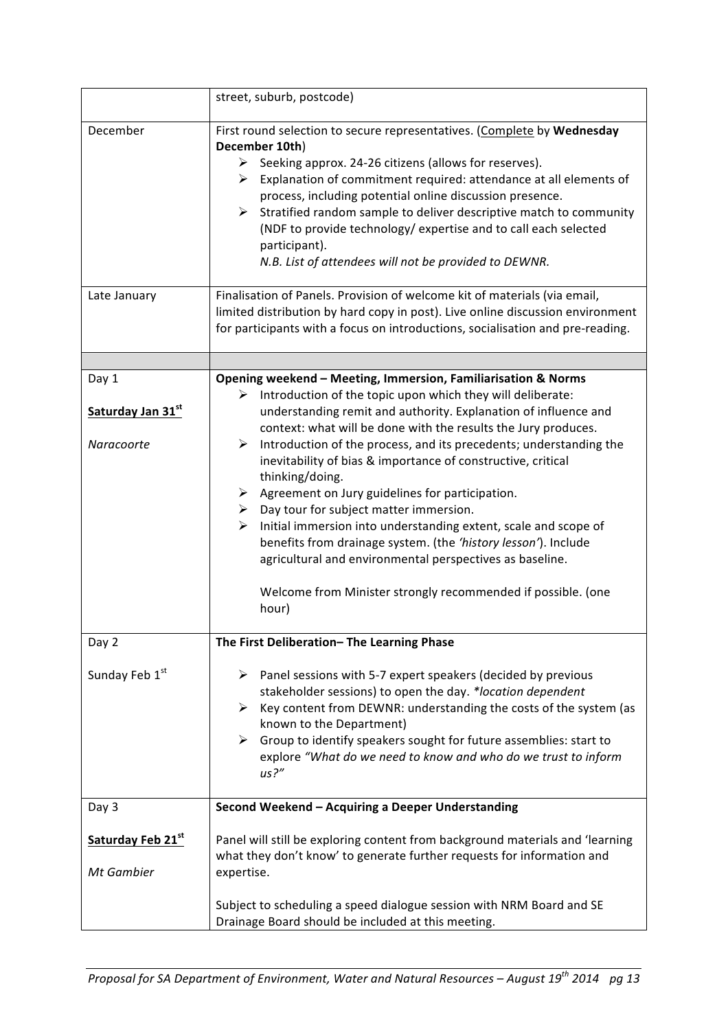|                                          | street, suburb, postcode)                                                                                                                                                                                                                                                                                                                                                                                                                                                                                                                        |
|------------------------------------------|--------------------------------------------------------------------------------------------------------------------------------------------------------------------------------------------------------------------------------------------------------------------------------------------------------------------------------------------------------------------------------------------------------------------------------------------------------------------------------------------------------------------------------------------------|
| December                                 | First round selection to secure representatives. (Complete by Wednesday<br>December 10th)<br>Seeking approx. 24-26 citizens (allows for reserves).<br>➤<br>$\triangleright$ Explanation of commitment required: attendance at all elements of<br>process, including potential online discussion presence.<br>Stratified random sample to deliver descriptive match to community<br>$\triangleright$<br>(NDF to provide technology/ expertise and to call each selected<br>participant).<br>N.B. List of attendees will not be provided to DEWNR. |
| Late January                             | Finalisation of Panels. Provision of welcome kit of materials (via email,<br>limited distribution by hard copy in post). Live online discussion environment<br>for participants with a focus on introductions, socialisation and pre-reading.                                                                                                                                                                                                                                                                                                    |
|                                          |                                                                                                                                                                                                                                                                                                                                                                                                                                                                                                                                                  |
| Day 1<br>Saturday Jan 31st<br>Naracoorte | Opening weekend - Meeting, Immersion, Familiarisation & Norms<br>Introduction of the topic upon which they will deliberate:<br>understanding remit and authority. Explanation of influence and<br>context: what will be done with the results the Jury produces.<br>Introduction of the process, and its precedents; understanding the<br>➤                                                                                                                                                                                                      |
|                                          | inevitability of bias & importance of constructive, critical<br>thinking/doing.<br>$\triangleright$ Agreement on Jury guidelines for participation.<br>$\triangleright$ Day tour for subject matter immersion.<br>$\triangleright$ Initial immersion into understanding extent, scale and scope of<br>benefits from drainage system. (the 'history lesson'). Include<br>agricultural and environmental perspectives as baseline.<br>Welcome from Minister strongly recommended if possible. (one<br>hour)                                        |
| Day 2                                    | The First Deliberation-The Learning Phase                                                                                                                                                                                                                                                                                                                                                                                                                                                                                                        |
| Sunday Feb 1st                           | $\triangleright$ Panel sessions with 5-7 expert speakers (decided by previous<br>stakeholder sessions) to open the day. *location dependent<br>Key content from DEWNR: understanding the costs of the system (as<br>≻<br>known to the Department)<br>Group to identify speakers sought for future assemblies: start to<br>≻<br>explore "What do we need to know and who do we trust to inform<br>us?''                                                                                                                                           |
| Day 3                                    | Second Weekend - Acquiring a Deeper Understanding                                                                                                                                                                                                                                                                                                                                                                                                                                                                                                |
| Saturday Feb 21st<br>Mt Gambier          | Panel will still be exploring content from background materials and 'learning<br>what they don't know' to generate further requests for information and<br>expertise.                                                                                                                                                                                                                                                                                                                                                                            |
|                                          | Subject to scheduling a speed dialogue session with NRM Board and SE<br>Drainage Board should be included at this meeting.                                                                                                                                                                                                                                                                                                                                                                                                                       |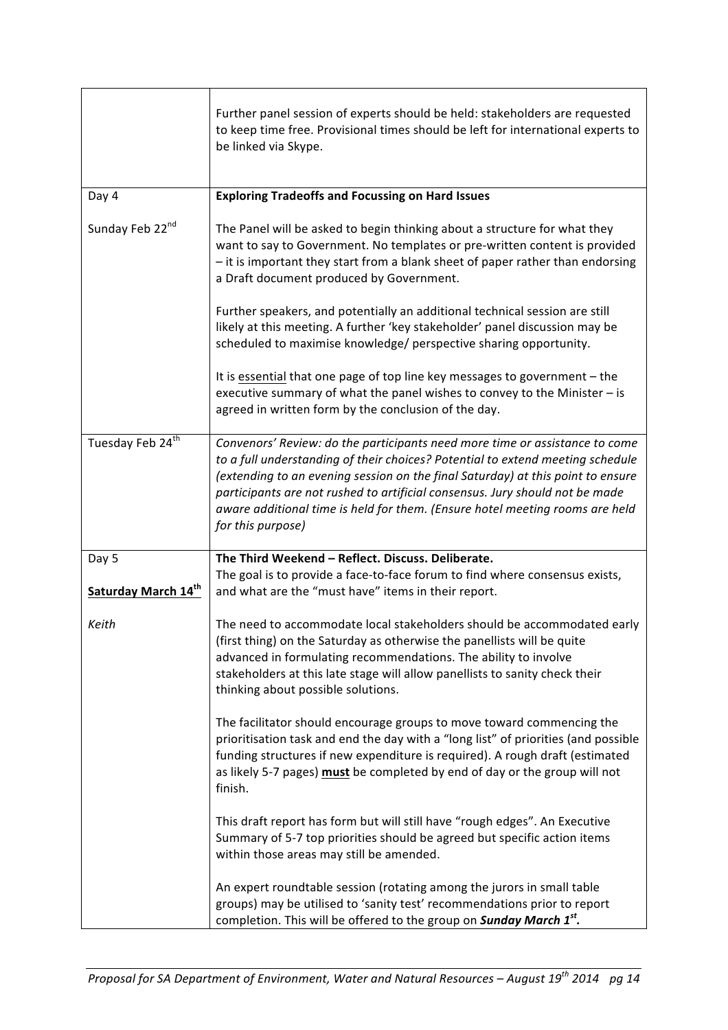|                              | Further panel session of experts should be held: stakeholders are requested<br>to keep time free. Provisional times should be left for international experts to<br>be linked via Skype.                                                                                                                                                                                                                                               |
|------------------------------|---------------------------------------------------------------------------------------------------------------------------------------------------------------------------------------------------------------------------------------------------------------------------------------------------------------------------------------------------------------------------------------------------------------------------------------|
| Day 4                        | <b>Exploring Tradeoffs and Focussing on Hard Issues</b>                                                                                                                                                                                                                                                                                                                                                                               |
| Sunday Feb 22nd              | The Panel will be asked to begin thinking about a structure for what they<br>want to say to Government. No templates or pre-written content is provided<br>- it is important they start from a blank sheet of paper rather than endorsing<br>a Draft document produced by Government.                                                                                                                                                 |
|                              | Further speakers, and potentially an additional technical session are still<br>likely at this meeting. A further 'key stakeholder' panel discussion may be<br>scheduled to maximise knowledge/ perspective sharing opportunity.                                                                                                                                                                                                       |
|                              | It is essential that one page of top line key messages to government - the<br>executive summary of what the panel wishes to convey to the Minister - is<br>agreed in written form by the conclusion of the day.                                                                                                                                                                                                                       |
| Tuesday Feb 24 <sup>th</sup> | Convenors' Review: do the participants need more time or assistance to come<br>to a full understanding of their choices? Potential to extend meeting schedule<br>(extending to an evening session on the final Saturday) at this point to ensure<br>participants are not rushed to artificial consensus. Jury should not be made<br>aware additional time is held for them. (Ensure hotel meeting rooms are held<br>for this purpose) |
| Day 5<br>Saturday March 14th | The Third Weekend - Reflect. Discuss. Deliberate.<br>The goal is to provide a face-to-face forum to find where consensus exists,<br>and what are the "must have" items in their report.                                                                                                                                                                                                                                               |
| Keith                        | The need to accommodate local stakeholders should be accommodated early<br>(first thing) on the Saturday as otherwise the panellists will be quite<br>advanced in formulating recommendations. The ability to involve<br>stakeholders at this late stage will allow panellists to sanity check their<br>thinking about possible solutions.                                                                                            |
|                              | The facilitator should encourage groups to move toward commencing the<br>prioritisation task and end the day with a "long list" of priorities (and possible<br>funding structures if new expenditure is required). A rough draft (estimated<br>as likely 5-7 pages) must be completed by end of day or the group will not<br>finish.                                                                                                  |
|                              | This draft report has form but will still have "rough edges". An Executive<br>Summary of 5-7 top priorities should be agreed but specific action items<br>within those areas may still be amended.                                                                                                                                                                                                                                    |
|                              | An expert roundtable session (rotating among the jurors in small table<br>groups) may be utilised to 'sanity test' recommendations prior to report<br>completion. This will be offered to the group on <b>Sunday March 1st</b> .                                                                                                                                                                                                      |